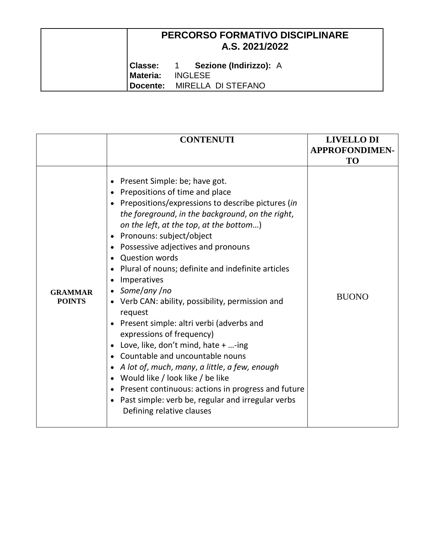|          | <b>PERCORSO FORMATIVO DISCIPLINARE</b><br>A.S. 2021/2022 |  |
|----------|----------------------------------------------------------|--|
|          | Classe: 1 Sezione (Indirizzo): A                         |  |
| Materia: | <b>INGLESE</b>                                           |  |
|          | Docente: MIRELLA DI STEFANO                              |  |

|                                 | <b>CONTENUTI</b>                                                                                                                                                                                                                                                                                                                                                                                                                                                                                                                                                                                                                                                                                                                                                                                                                                                                                                                                                      | <b>LIVELLO DI</b><br><b>APPROFONDIMEN-</b><br><b>TO</b> |
|---------------------------------|-----------------------------------------------------------------------------------------------------------------------------------------------------------------------------------------------------------------------------------------------------------------------------------------------------------------------------------------------------------------------------------------------------------------------------------------------------------------------------------------------------------------------------------------------------------------------------------------------------------------------------------------------------------------------------------------------------------------------------------------------------------------------------------------------------------------------------------------------------------------------------------------------------------------------------------------------------------------------|---------------------------------------------------------|
| <b>GRAMMAR</b><br><b>POINTS</b> | Present Simple: be; have got.<br>$\bullet$<br>Prepositions of time and place<br>$\bullet$<br>Prepositions/expressions to describe pictures (in<br>the foreground, in the background, on the right,<br>on the left, at the top, at the bottom)<br>Pronouns: subject/object<br>$\bullet$<br>Possessive adjectives and pronouns<br><b>Question words</b><br>Plural of nouns; definite and indefinite articles<br>$\bullet$<br>Imperatives<br>$\bullet$<br>Some/any/no<br>$\bullet$<br>Verb CAN: ability, possibility, permission and<br>request<br>Present simple: altri verbi (adverbs and<br>$\bullet$<br>expressions of frequency)<br>Love, like, don't mind, hate $+$ -ing<br>$\bullet$<br>Countable and uncountable nouns<br>A lot of, much, many, a little, a few, enough<br>Would like / look like / be like<br>$\bullet$<br>Present continuous: actions in progress and future<br>Past simple: verb be, regular and irregular verbs<br>Defining relative clauses | <b>BUONO</b>                                            |